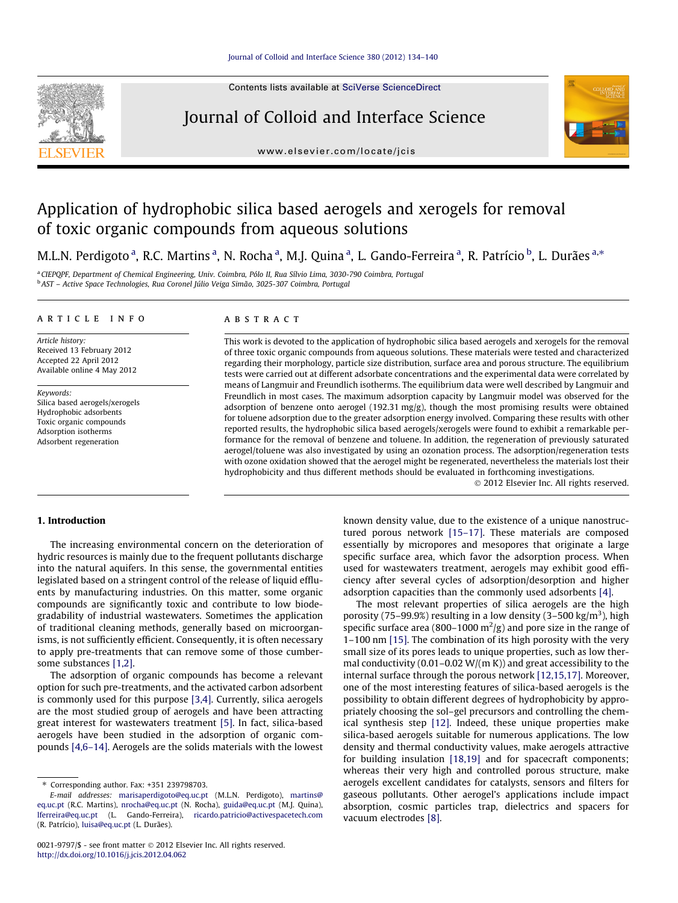Contents lists available at [SciVerse ScienceDirect](http://www.sciencedirect.com/science/journal/00219797)







# Application of hydrophobic silica based aerogels and xerogels for removal of toxic organic compounds from aqueous solutions

M.L.N. Perdigoto <sup>a</sup>, R.C. Martins <sup>a</sup>, N. Rocha <sup>a</sup>, M.J. Quina <sup>a</sup>, L. Gando-Ferreira <sup>a</sup>, R. Patrício <sup>b</sup>, L. Durães <sup>a,</sup>\*

<sup>a</sup> CIEPQPF, Department of Chemical Engineering, Univ. Coimbra, Pólo II, Rua Sílvio Lima, 3030-790 Coimbra, Portugal <sup>b</sup> AST – Active Space Technologies, Rua Coronel Júlio Veiga Simão, 3025-307 Coimbra, Portugal

#### article info

Article history: Received 13 February 2012 Accepted 22 April 2012 Available online 4 May 2012

Keywords: Silica based aerogels/xerogels Hydrophobic adsorbents Toxic organic compounds Adsorption isotherms Adsorbent regeneration

#### ABSTRACT

This work is devoted to the application of hydrophobic silica based aerogels and xerogels for the removal of three toxic organic compounds from aqueous solutions. These materials were tested and characterized regarding their morphology, particle size distribution, surface area and porous structure. The equilibrium tests were carried out at different adsorbate concentrations and the experimental data were correlated by means of Langmuir and Freundlich isotherms. The equilibrium data were well described by Langmuir and Freundlich in most cases. The maximum adsorption capacity by Langmuir model was observed for the adsorption of benzene onto aerogel (192.31 mg/g), though the most promising results were obtained for toluene adsorption due to the greater adsorption energy involved. Comparing these results with other reported results, the hydrophobic silica based aerogels/xerogels were found to exhibit a remarkable performance for the removal of benzene and toluene. In addition, the regeneration of previously saturated aerogel/toluene was also investigated by using an ozonation process. The adsorption/regeneration tests with ozone oxidation showed that the aerogel might be regenerated, nevertheless the materials lost their hydrophobicity and thus different methods should be evaluated in forthcoming investigations.

- 2012 Elsevier Inc. All rights reserved.

# 1. Introduction

The increasing environmental concern on the deterioration of hydric resources is mainly due to the frequent pollutants discharge into the natural aquifers. In this sense, the governmental entities legislated based on a stringent control of the release of liquid effluents by manufacturing industries. On this matter, some organic compounds are significantly toxic and contribute to low biodegradability of industrial wastewaters. Sometimes the application of traditional cleaning methods, generally based on microorganisms, is not sufficiently efficient. Consequently, it is often necessary to apply pre-treatments that can remove some of those cumbersome substances [\[1,2\].](#page-6-0)

The adsorption of organic compounds has become a relevant option for such pre-treatments, and the activated carbon adsorbent is commonly used for this purpose [\[3,4\].](#page-6-0) Currently, silica aerogels are the most studied group of aerogels and have been attracting great interest for wastewaters treatment [\[5\]](#page-6-0). In fact, silica-based aerogels have been studied in the adsorption of organic compounds [\[4,6–14\].](#page-6-0) Aerogels are the solids materials with the lowest known density value, due to the existence of a unique nanostructured porous network [\[15–17\]](#page-6-0). These materials are composed essentially by micropores and mesopores that originate a large specific surface area, which favor the adsorption process. When used for wastewaters treatment, aerogels may exhibit good efficiency after several cycles of adsorption/desorption and higher adsorption capacities than the commonly used adsorbents [\[4\]](#page-6-0).

The most relevant properties of silica aerogels are the high porosity (75-99.9%) resulting in a low density (3-500 kg/m<sup>3</sup>), high specific surface area (800–1000  $\mathrm{m}^2/\mathrm{g}$ ) and pore size in the range of 1–100 nm [\[15\].](#page-6-0) The combination of its high porosity with the very small size of its pores leads to unique properties, such as low thermal conductivity (0.01–0.02 W/(m K)) and great accessibility to the internal surface through the porous network [\[12,15,17\]](#page-6-0). Moreover, one of the most interesting features of silica-based aerogels is the possibility to obtain different degrees of hydrophobicity by appropriately choosing the sol–gel precursors and controlling the chemical synthesis step [\[12\].](#page-6-0) Indeed, these unique properties make silica-based aerogels suitable for numerous applications. The low density and thermal conductivity values, make aerogels attractive for building insulation [\[18,19\]](#page-6-0) and for spacecraft components; whereas their very high and controlled porous structure, make aerogels excellent candidates for catalysts, sensors and filters for gaseous pollutants. Other aerogel's applications include impact absorption, cosmic particles trap, dielectrics and spacers for vacuum electrodes [\[8\]](#page-6-0).

<sup>⇑</sup> Corresponding author. Fax: +351 239798703.

E-mail addresses: [marisaperdigoto@eq.uc.pt](mailto:marisaperdigoto@eq.uc.pt) (M.L.N. Perdigoto), [martins@](mailto:martins@eq.uc.pt) [eq.uc.pt](mailto:martins@eq.uc.pt) (R.C. Martins), [nrocha@eq.uc.pt](mailto:nrocha@eq.uc.pt) (N. Rocha), [guida@eq.uc.pt](mailto:guida@eq.uc.pt) (M.J. Quina), [lferreira@eq.uc.pt](mailto:lferreira@eq.uc.pt) (L. Gando-Ferreira), [ricardo.patricio@activespacetech.com](mailto:ricardo.patricio@activespacetech.com) (R. Patrício), [luisa@eq.uc.pt](mailto:luisa@eq.uc.pt) (L. Durães).

<sup>0021-9797/\$ -</sup> see front matter © 2012 Elsevier Inc. All rights reserved. <http://dx.doi.org/10.1016/j.jcis.2012.04.062>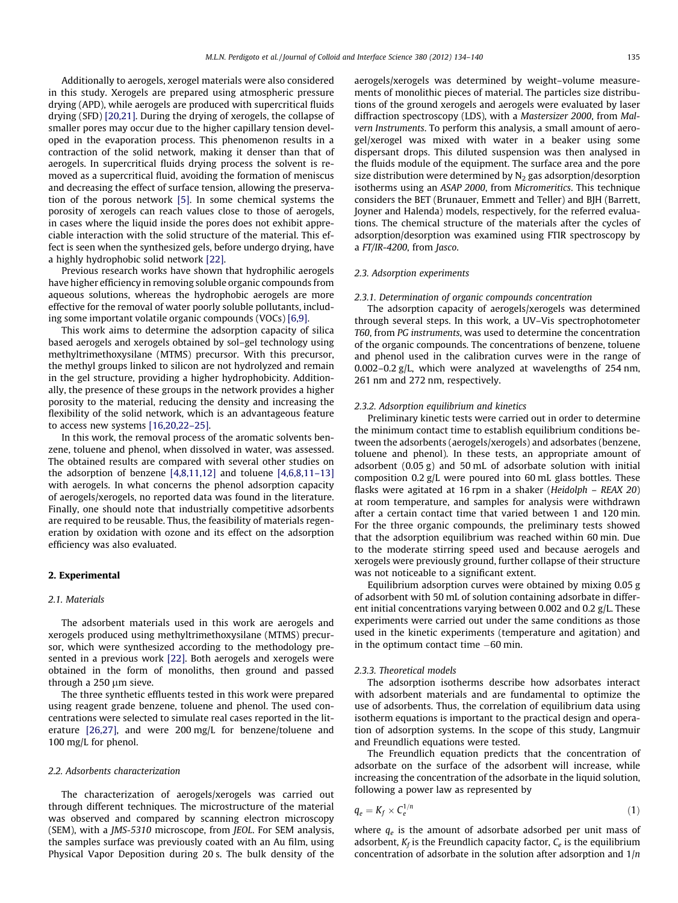<span id="page-1-0"></span>Additionally to aerogels, xerogel materials were also considered in this study. Xerogels are prepared using atmospheric pressure drying (APD), while aerogels are produced with supercritical fluids drying (SFD) [\[20,21\].](#page-6-0) During the drying of xerogels, the collapse of smaller pores may occur due to the higher capillary tension developed in the evaporation process. This phenomenon results in a contraction of the solid network, making it denser than that of aerogels. In supercritical fluids drying process the solvent is removed as a supercritical fluid, avoiding the formation of meniscus and decreasing the effect of surface tension, allowing the preservation of the porous network [\[5\].](#page-6-0) In some chemical systems the porosity of xerogels can reach values close to those of aerogels, in cases where the liquid inside the pores does not exhibit appreciable interaction with the solid structure of the material. This effect is seen when the synthesized gels, before undergo drying, have a highly hydrophobic solid network [\[22\].](#page-6-0)

Previous research works have shown that hydrophilic aerogels have higher efficiency in removing soluble organic compounds from aqueous solutions, whereas the hydrophobic aerogels are more effective for the removal of water poorly soluble pollutants, including some important volatile organic compounds (VOCs) [\[6,9\]](#page-6-0).

This work aims to determine the adsorption capacity of silica based aerogels and xerogels obtained by sol–gel technology using methyltrimethoxysilane (MTMS) precursor. With this precursor, the methyl groups linked to silicon are not hydrolyzed and remain in the gel structure, providing a higher hydrophobicity. Additionally, the presence of these groups in the network provides a higher porosity to the material, reducing the density and increasing the flexibility of the solid network, which is an advantageous feature to access new systems [\[16,20,22–25\]](#page-6-0).

In this work, the removal process of the aromatic solvents benzene, toluene and phenol, when dissolved in water, was assessed. The obtained results are compared with several other studies on the adsorption of benzene  $[4,8,11,12]$  and toluene  $[4,6,8,11-13]$ with aerogels. In what concerns the phenol adsorption capacity of aerogels/xerogels, no reported data was found in the literature. Finally, one should note that industrially competitive adsorbents are required to be reusable. Thus, the feasibility of materials regeneration by oxidation with ozone and its effect on the adsorption efficiency was also evaluated.

## 2. Experimental

#### 2.1. Materials

The adsorbent materials used in this work are aerogels and xerogels produced using methyltrimethoxysilane (MTMS) precursor, which were synthesized according to the methodology presented in a previous work [\[22\].](#page-6-0) Both aerogels and xerogels were obtained in the form of monoliths, then ground and passed through a 250 um sieve.

The three synthetic effluents tested in this work were prepared using reagent grade benzene, toluene and phenol. The used concentrations were selected to simulate real cases reported in the literature [\[26,27\]](#page-6-0), and were 200 mg/L for benzene/toluene and 100 mg/L for phenol.

#### 2.2. Adsorbents characterization

The characterization of aerogels/xerogels was carried out through different techniques. The microstructure of the material was observed and compared by scanning electron microscopy (SEM), with a JMS-5310 microscope, from JEOL. For SEM analysis, the samples surface was previously coated with an Au film, using Physical Vapor Deposition during 20 s. The bulk density of the

aerogels/xerogels was determined by weight–volume measurements of monolithic pieces of material. The particles size distributions of the ground xerogels and aerogels were evaluated by laser diffraction spectroscopy (LDS), with a Mastersizer 2000, from Malvern Instruments. To perform this analysis, a small amount of aerogel/xerogel was mixed with water in a beaker using some dispersant drops. This diluted suspension was then analysed in the fluids module of the equipment. The surface area and the pore size distribution were determined by  $N_2$  gas adsorption/desorption isotherms using an ASAP 2000, from Micromeritics. This technique considers the BET (Brunauer, Emmett and Teller) and BJH (Barrett, Joyner and Halenda) models, respectively, for the referred evaluations. The chemical structure of the materials after the cycles of adsorption/desorption was examined using FTIR spectroscopy by a FT/IR-4200, from Jasco.

# 2.3. Adsorption experiments

#### 2.3.1. Determination of organic compounds concentration

The adsorption capacity of aerogels/xerogels was determined through several steps. In this work, a UV–Vis spectrophotometer T60, from PG instruments, was used to determine the concentration of the organic compounds. The concentrations of benzene, toluene and phenol used in the calibration curves were in the range of 0.002–0.2 g/L, which were analyzed at wavelengths of 254 nm, 261 nm and 272 nm, respectively.

#### 2.3.2. Adsorption equilibrium and kinetics

Preliminary kinetic tests were carried out in order to determine the minimum contact time to establish equilibrium conditions between the adsorbents (aerogels/xerogels) and adsorbates (benzene, toluene and phenol). In these tests, an appropriate amount of adsorbent (0.05 g) and 50 mL of adsorbate solution with initial composition 0.2 g/L were poured into 60 mL glass bottles. These flasks were agitated at 16 rpm in a shaker (Heidolph – REAX 20) at room temperature, and samples for analysis were withdrawn after a certain contact time that varied between 1 and 120 min. For the three organic compounds, the preliminary tests showed that the adsorption equilibrium was reached within 60 min. Due to the moderate stirring speed used and because aerogels and xerogels were previously ground, further collapse of their structure was not noticeable to a significant extent.

Equilibrium adsorption curves were obtained by mixing 0.05 g of adsorbent with 50 mL of solution containing adsorbate in different initial concentrations varying between 0.002 and 0.2 g/L. These experiments were carried out under the same conditions as those used in the kinetic experiments (temperature and agitation) and in the optimum contact time  $-60$  min.

### 2.3.3. Theoretical models

The adsorption isotherms describe how adsorbates interact with adsorbent materials and are fundamental to optimize the use of adsorbents. Thus, the correlation of equilibrium data using isotherm equations is important to the practical design and operation of adsorption systems. In the scope of this study, Langmuir and Freundlich equations were tested.

The Freundlich equation predicts that the concentration of adsorbate on the surface of the adsorbent will increase, while increasing the concentration of the adsorbate in the liquid solution, following a power law as represented by

$$
q_e = K_f \times C_e^{1/n} \tag{1}
$$

where  $q_e$  is the amount of adsorbate adsorbed per unit mass of adsorbent,  $K_f$  is the Freundlich capacity factor,  $C_e$  is the equilibrium concentration of adsorbate in the solution after adsorption and  $1/n$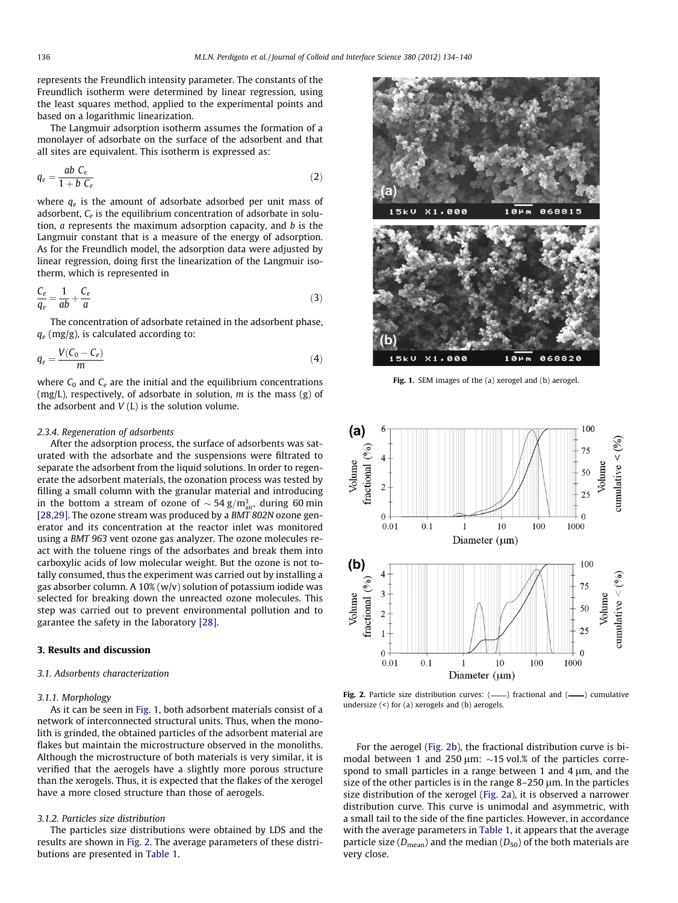represents the Freundlich intensity parameter. The constants of the Freundlich isotherm were determined by linear regression, using the least squares method, applied to the experimental points and based on a logarithmic linearization.

The Langmuir adsorption isotherm assumes the formation of a monolayer of adsorbate on the surface of the adsorbent and that all sites are equivalent. This isotherm is expressed as:

$$
q_e = \frac{ab \ C_e}{1 + b \ C_e} \tag{2}
$$

where  $q_e$  is the amount of adsorbate adsorbed per unit mass of adsorbent,  $C_e$  is the equilibrium concentration of adsorbate in solution, a represents the maximum adsorption capacity, and b is the Langmuir constant that is a measure of the energy of adsorption. As for the Freundlich model, the adsorption data were adjusted by linear regression, doing first the linearization of the Langmuir isotherm, which is represented in

$$
\frac{C_e}{q_e} = \frac{1}{ab} + \frac{C_e}{a}
$$
\n(3)

The concentration of adsorbate retained in the adsorbent phase,  $q_e$  (mg/g), is calculated according to:

$$
q_e = \frac{V(C_0 - C_e)}{m} \tag{4}
$$

where  $C_0$  and  $C_e$  are the initial and the equilibrium concentrations (mg/L), respectively, of adsorbate in solution,  $m$  is the mass (g) of the adsorbent and  $V(L)$  is the solution volume.

#### 2.3.4. Regeneration of adsorbents

After the adsorption process, the surface of adsorbents was saturated with the adsorbate and the suspensions were filtrated to separate the adsorbent from the liquid solutions. In order to regenerate the adsorbent materials, the ozonation process was tested by filling a small column with the granular material and introducing in the bottom a stream of ozone of  $\sim$  54 g/m $_{\rm air}^3$ , during 60 min [\[28,29\].](#page-6-0) The ozone stream was produced by a BMT 802N ozone generator and its concentration at the reactor inlet was monitored using a BMT 963 vent ozone gas analyzer. The ozone molecules react with the toluene rings of the adsorbates and break them into carboxylic acids of low molecular weight. But the ozone is not totally consumed, thus the experiment was carried out by installing a gas absorber column. A  $10\%$  (w/v) solution of potassium iodide was selected for breaking down the unreacted ozone molecules. This step was carried out to prevent environmental pollution and to garantee the safety in the laboratory [\[28\]](#page-6-0).

#### 3. Results and discussion

#### 3.1. Adsorbents characterization

### 3.1.1. Morphology

As it can be seen in Fig. 1, both adsorbent materials consist of a network of interconnected structural units. Thus, when the monolith is grinded, the obtained particles of the adsorbent material are flakes but maintain the microstructure observed in the monoliths. Although the microstructure of both materials is very similar, it is verified that the aerogels have a slightly more porous structure than the xerogels. Thus, it is expected that the flakes of the xerogel have a more closed structure than those of aerogels.

#### 3.1.2. Particles size distribution

The particles size distributions were obtained by LDS and the results are shown in Fig. 2. The average parameters of these distributions are presented in [Table 1](#page-3-0).



Fig. 1. SEM images of the (a) xerogel and (b) aerogel.



Fig. 2. Particle size distribution curves:  $($ — $)$  fractional and  $($ — $)$  cumulative undersize (<) for (a) xerogels and (b) aerogels.

For the aerogel (Fig. 2b), the fractional distribution curve is bimodal between 1 and 250  $\mu$ m:  $\sim$ 15 vol.% of the particles correspond to small particles in a range between 1 and 4  $\mu$ m, and the size of the other particles is in the range  $8-250 \mu m$ . In the particles size distribution of the xerogel (Fig. 2a), it is observed a narrower distribution curve. This curve is unimodal and asymmetric, with a small tail to the side of the fine particles. However, in accordance with the average parameters in [Table 1,](#page-3-0) it appears that the average particle size ( $D_{\text{mean}}$ ) and the median ( $D_{50}$ ) of the both materials are very close.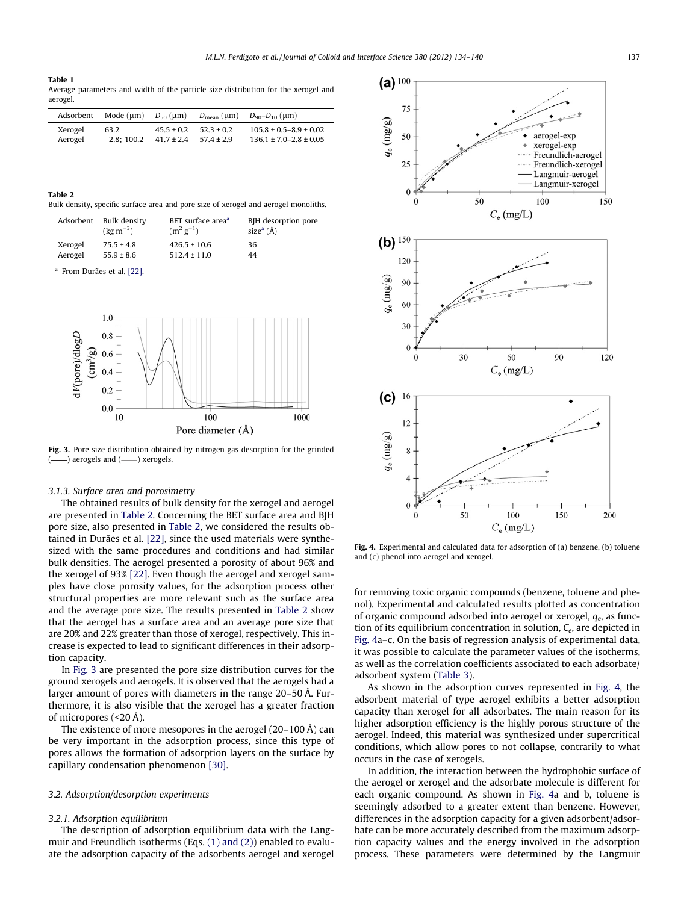#### <span id="page-3-0"></span>Table 1

Average parameters and width of the particle size distribution for the xerogel and aerogel.

| Adsorbent | Mode (µm) | $D_{50}$ (um)  | $D_{\text{mean}} (\mu m)$ | $D_{90} - D_{10}$ (µm)         |
|-----------|-----------|----------------|---------------------------|--------------------------------|
| Xerogel   | 63.2      | $45.5 \pm 0.2$ | $52.3 \pm 0.2$            | $105.8 \pm 0.5 - 8.9 \pm 0.02$ |
| Aerogel   | 2.8:100.2 | $41.7 \pm 2.4$ | $57.4 \pm 2.9$            | $136.1 \pm 7.0 - 2.8 \pm 0.05$ |

| Table 2 |                                                                                     |
|---------|-------------------------------------------------------------------------------------|
|         | Bulk density, specific surface area and pore size of xerogel and aerogel monoliths. |

| Adsorbent | Bulk density         | BET surface area <sup>a</sup> | BJH desorption pore       |
|-----------|----------------------|-------------------------------|---------------------------|
|           | $(\text{kg m}^{-3})$ | $(m^2 g^{-1})$                | size <sup>a</sup> $(\AA)$ |
| Xerogel   | $75.5 \pm 4.8$       | $426.5 \pm 10.6$              | 36                        |
| Aerogel   | $55.9 \pm 8.6$       | $512.4 \pm 11.0$              | 44                        |

<sup>a</sup> From Durães et al. [\[22\].](#page-6-0)



Fig. 3. Pore size distribution obtained by nitrogen gas desorption for the grinded -) aerogels and (-) xerogels.

# 3.1.3. Surface area and porosimetry

The obtained results of bulk density for the xerogel and aerogel are presented in Table 2. Concerning the BET surface area and BJH pore size, also presented in Table 2, we considered the results obtained in Durães et al. [\[22\]](#page-6-0), since the used materials were synthesized with the same procedures and conditions and had similar bulk densities. The aerogel presented a porosity of about 96% and the xerogel of 93% [\[22\]](#page-6-0). Even though the aerogel and xerogel samples have close porosity values, for the adsorption process other structural properties are more relevant such as the surface area and the average pore size. The results presented in Table 2 show that the aerogel has a surface area and an average pore size that are 20% and 22% greater than those of xerogel, respectively. This increase is expected to lead to significant differences in their adsorption capacity.

In Fig. 3 are presented the pore size distribution curves for the ground xerogels and aerogels. It is observed that the aerogels had a larger amount of pores with diameters in the range 20–50 Å. Furthermore, it is also visible that the xerogel has a greater fraction of micropores (<20 Å).

The existence of more mesopores in the aerogel (20–100 Å) can be very important in the adsorption process, since this type of pores allows the formation of adsorption layers on the surface by capillary condensation phenomenon [\[30\].](#page-6-0)

#### 3.2. Adsorption/desorption experiments

#### 3.2.1. Adsorption equilibrium

The description of adsorption equilibrium data with the Langmuir and Freundlich isotherms (Eqs. [\(1\) and \(2\)\)](#page-1-0) enabled to evaluate the adsorption capacity of the adsorbents aerogel and xerogel



Fig. 4. Experimental and calculated data for adsorption of (a) benzene, (b) toluene and (c) phenol into aerogel and xerogel.

for removing toxic organic compounds (benzene, toluene and phenol). Experimental and calculated results plotted as concentration of organic compound adsorbed into aerogel or xerogel,  $q_e$ , as function of its equilibrium concentration in solution,  $C_e$ , are depicted in Fig. 4a–c. On the basis of regression analysis of experimental data, it was possible to calculate the parameter values of the isotherms, as well as the correlation coefficients associated to each adsorbate/ adsorbent system [\(Table 3](#page-4-0)).

As shown in the adsorption curves represented in Fig. 4, the adsorbent material of type aerogel exhibits a better adsorption capacity than xerogel for all adsorbates. The main reason for its higher adsorption efficiency is the highly porous structure of the aerogel. Indeed, this material was synthesized under supercritical conditions, which allow pores to not collapse, contrarily to what occurs in the case of xerogels.

In addition, the interaction between the hydrophobic surface of the aerogel or xerogel and the adsorbate molecule is different for each organic compound. As shown in Fig. 4a and b, toluene is seemingly adsorbed to a greater extent than benzene. However, differences in the adsorption capacity for a given adsorbent/adsorbate can be more accurately described from the maximum adsorption capacity values and the energy involved in the adsorption process. These parameters were determined by the Langmuir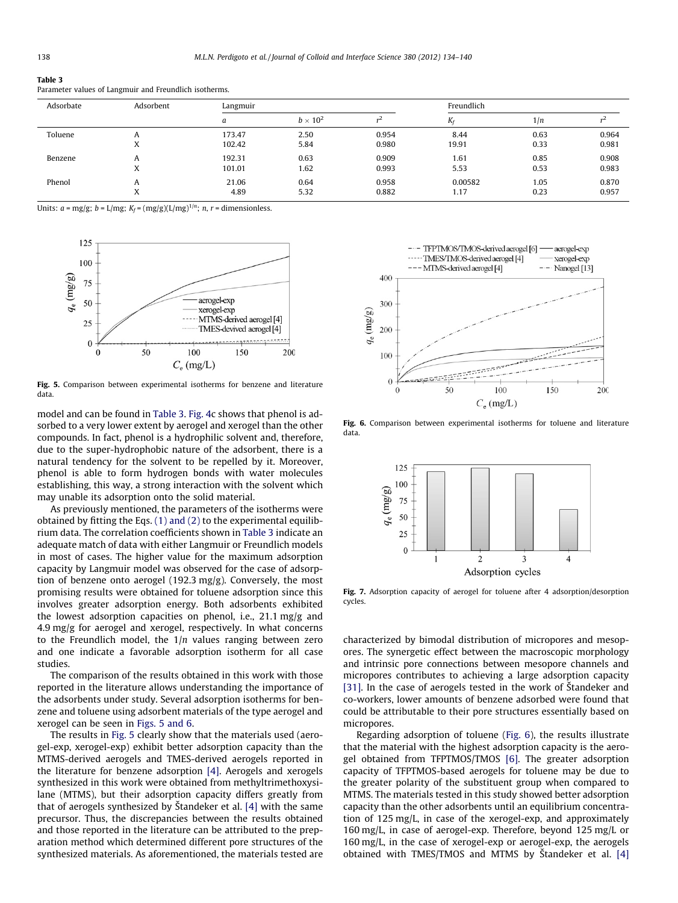#### <span id="page-4-0"></span>Table 3

|  | Parameter values of Langmuir and Freundlich isotherms. |
|--|--------------------------------------------------------|

| Adsorbate | Adsorbent | Langmuir |                 |       | Freundlich |      |       |
|-----------|-----------|----------|-----------------|-------|------------|------|-------|
|           |           |          | $b \times 10^2$ |       | $K_f$      | 1/n  |       |
| Toluene   | A         | 173.47   | 2.50            | 0.954 | 8.44       | 0.63 | 0.964 |
|           | $\Lambda$ | 102.42   | 5.84            | 0.980 | 19.91      | 0.33 | 0.981 |
| Benzene   | A         | 192.31   | 0.63            | 0.909 | 1.61       | 0.85 | 0.908 |
|           | ́́        | 101.01   | 1.62            | 0.993 | 5.53       | 0.53 | 0.983 |
| Phenol    |           | 21.06    | 0.64            | 0.958 | 0.00582    | 1.05 | 0.870 |
|           | A         | 4.89     | 5.32            | 0.882 | 1.17       | 0.23 | 0.957 |

Units:  $a = \text{mg/g}; b = L/\text{mg}; K_f = (\text{mg/g})(L/\text{mg})^{1/n}; n, r = \text{dimensionless}.$ 



Fig. 5. Comparison between experimental isotherms for benzene and literature data.

model and can be found in Table 3. [Fig. 4c](#page-3-0) shows that phenol is adsorbed to a very lower extent by aerogel and xerogel than the other compounds. In fact, phenol is a hydrophilic solvent and, therefore, due to the super-hydrophobic nature of the adsorbent, there is a natural tendency for the solvent to be repelled by it. Moreover, phenol is able to form hydrogen bonds with water molecules establishing, this way, a strong interaction with the solvent which may unable its adsorption onto the solid material.

As previously mentioned, the parameters of the isotherms were obtained by fitting the Eqs. [\(1\) and \(2\)](#page-1-0) to the experimental equilibrium data. The correlation coefficients shown in Table 3 indicate an adequate match of data with either Langmuir or Freundlich models in most of cases. The higher value for the maximum adsorption capacity by Langmuir model was observed for the case of adsorption of benzene onto aerogel (192.3 mg/g). Conversely, the most promising results were obtained for toluene adsorption since this involves greater adsorption energy. Both adsorbents exhibited the lowest adsorption capacities on phenol, i.e., 21.1 mg/g and 4.9 mg/g for aerogel and xerogel, respectively. In what concerns to the Freundlich model, the  $1/n$  values ranging between zero and one indicate a favorable adsorption isotherm for all case studies.

The comparison of the results obtained in this work with those reported in the literature allows understanding the importance of the adsorbents under study. Several adsorption isotherms for benzene and toluene using adsorbent materials of the type aerogel and xerogel can be seen in Figs. 5 and 6.

The results in Fig. 5 clearly show that the materials used (aerogel-exp, xerogel-exp) exhibit better adsorption capacity than the MTMS-derived aerogels and TMES-derived aerogels reported in the literature for benzene adsorption [\[4\].](#page-6-0) Aerogels and xerogels synthesized in this work were obtained from methyltrimethoxysilane (MTMS), but their adsorption capacity differs greatly from that of aerogels synthesized by Štandeker et al. [\[4\]](#page-6-0) with the same precursor. Thus, the discrepancies between the results obtained and those reported in the literature can be attributed to the preparation method which determined different pore structures of the synthesized materials. As aforementioned, the materials tested are



Fig. 6. Comparison between experimental isotherms for toluene and literature data.



Fig. 7. Adsorption capacity of aerogel for toluene after 4 adsorption/desorption cycles.

characterized by bimodal distribution of micropores and mesopores. The synergetic effect between the macroscopic morphology and intrinsic pore connections between mesopore channels and micropores contributes to achieving a large adsorption capacity [\[31\]](#page-6-0). In the case of aerogels tested in the work of Štandeker and co-workers, lower amounts of benzene adsorbed were found that could be attributable to their pore structures essentially based on micropores.

Regarding adsorption of toluene (Fig. 6), the results illustrate that the material with the highest adsorption capacity is the aerogel obtained from TFPTMOS/TMOS [\[6\]](#page-6-0). The greater adsorption capacity of TFPTMOS-based aerogels for toluene may be due to the greater polarity of the substituent group when compared to MTMS. The materials tested in this study showed better adsorption capacity than the other adsorbents until an equilibrium concentration of 125 mg/L, in case of the xerogel-exp, and approximately 160 mg/L, in case of aerogel-exp. Therefore, beyond 125 mg/L or 160 mg/L, in the case of xerogel-exp or aerogel-exp, the aerogels obtained with TMES/TMOS and MTMS by Štandeker et al. [\[4\]](#page-6-0)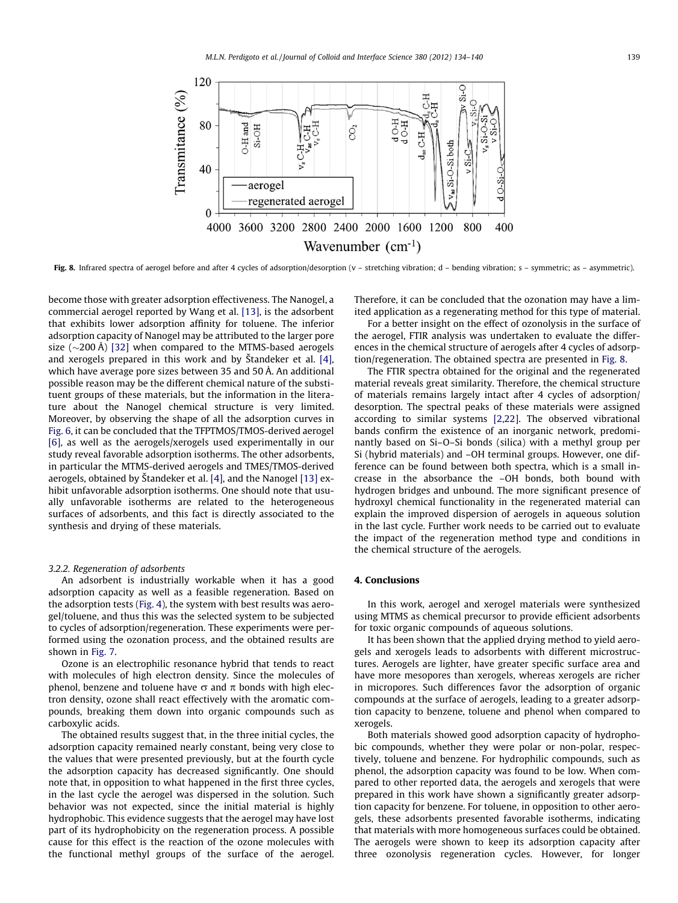

Fig. 8. Infrared spectra of aerogel before and after 4 cycles of adsorption/desorption (v - stretching vibration; d - bending vibration; s - symmetric; as - asymmetric).

become those with greater adsorption effectiveness. The Nanogel, a commercial aerogel reported by Wang et al. [\[13\],](#page-6-0) is the adsorbent that exhibits lower adsorption affinity for toluene. The inferior adsorption capacity of Nanogel may be attributed to the larger pore size  $(\sim 200 \text{ Å})$  [\[32\]](#page-6-0) when compared to the MTMS-based aerogels and xerogels prepared in this work and by Štandeker et al. [\[4\],](#page-6-0) which have average pore sizes between 35 and 50 Å. An additional possible reason may be the different chemical nature of the substituent groups of these materials, but the information in the literature about the Nanogel chemical structure is very limited. Moreover, by observing the shape of all the adsorption curves in [Fig. 6](#page-4-0), it can be concluded that the TFPTMOS/TMOS-derived aerogel [\[6\]](#page-6-0), as well as the aerogels/xerogels used experimentally in our study reveal favorable adsorption isotherms. The other adsorbents, in particular the MTMS-derived aerogels and TMES/TMOS-derived aerogels, obtained by Štandeker et al. [\[4\],](#page-6-0) and the Nanogel [\[13\]](#page-6-0) exhibit unfavorable adsorption isotherms. One should note that usually unfavorable isotherms are related to the heterogeneous surfaces of adsorbents, and this fact is directly associated to the synthesis and drying of these materials.

# 3.2.2. Regeneration of adsorbents

An adsorbent is industrially workable when it has a good adsorption capacity as well as a feasible regeneration. Based on the adsorption tests [\(Fig. 4](#page-3-0)), the system with best results was aerogel/toluene, and thus this was the selected system to be subjected to cycles of adsorption/regeneration. These experiments were performed using the ozonation process, and the obtained results are shown in [Fig. 7.](#page-4-0)

Ozone is an electrophilic resonance hybrid that tends to react with molecules of high electron density. Since the molecules of phenol, benzene and toluene have  $\sigma$  and  $\pi$  bonds with high electron density, ozone shall react effectively with the aromatic compounds, breaking them down into organic compounds such as carboxylic acids.

The obtained results suggest that, in the three initial cycles, the adsorption capacity remained nearly constant, being very close to the values that were presented previously, but at the fourth cycle the adsorption capacity has decreased significantly. One should note that, in opposition to what happened in the first three cycles, in the last cycle the aerogel was dispersed in the solution. Such behavior was not expected, since the initial material is highly hydrophobic. This evidence suggests that the aerogel may have lost part of its hydrophobicity on the regeneration process. A possible cause for this effect is the reaction of the ozone molecules with the functional methyl groups of the surface of the aerogel. Therefore, it can be concluded that the ozonation may have a limited application as a regenerating method for this type of material.

For a better insight on the effect of ozonolysis in the surface of the aerogel, FTIR analysis was undertaken to evaluate the differences in the chemical structure of aerogels after 4 cycles of adsorption/regeneration. The obtained spectra are presented in Fig. 8.

The FTIR spectra obtained for the original and the regenerated material reveals great similarity. Therefore, the chemical structure of materials remains largely intact after 4 cycles of adsorption/ desorption. The spectral peaks of these materials were assigned according to similar systems [\[2,22\].](#page-6-0) The observed vibrational bands confirm the existence of an inorganic network, predominantly based on Si–O–Si bonds (silica) with a methyl group per Si (hybrid materials) and –OH terminal groups. However, one difference can be found between both spectra, which is a small increase in the absorbance the –OH bonds, both bound with hydrogen bridges and unbound. The more significant presence of hydroxyl chemical functionality in the regenerated material can explain the improved dispersion of aerogels in aqueous solution in the last cycle. Further work needs to be carried out to evaluate the impact of the regeneration method type and conditions in the chemical structure of the aerogels.

# 4. Conclusions

In this work, aerogel and xerogel materials were synthesized using MTMS as chemical precursor to provide efficient adsorbents for toxic organic compounds of aqueous solutions.

It has been shown that the applied drying method to yield aerogels and xerogels leads to adsorbents with different microstructures. Aerogels are lighter, have greater specific surface area and have more mesopores than xerogels, whereas xerogels are richer in micropores. Such differences favor the adsorption of organic compounds at the surface of aerogels, leading to a greater adsorption capacity to benzene, toluene and phenol when compared to xerogels.

Both materials showed good adsorption capacity of hydrophobic compounds, whether they were polar or non-polar, respectively, toluene and benzene. For hydrophilic compounds, such as phenol, the adsorption capacity was found to be low. When compared to other reported data, the aerogels and xerogels that were prepared in this work have shown a significantly greater adsorption capacity for benzene. For toluene, in opposition to other aerogels, these adsorbents presented favorable isotherms, indicating that materials with more homogeneous surfaces could be obtained. The aerogels were shown to keep its adsorption capacity after three ozonolysis regeneration cycles. However, for longer